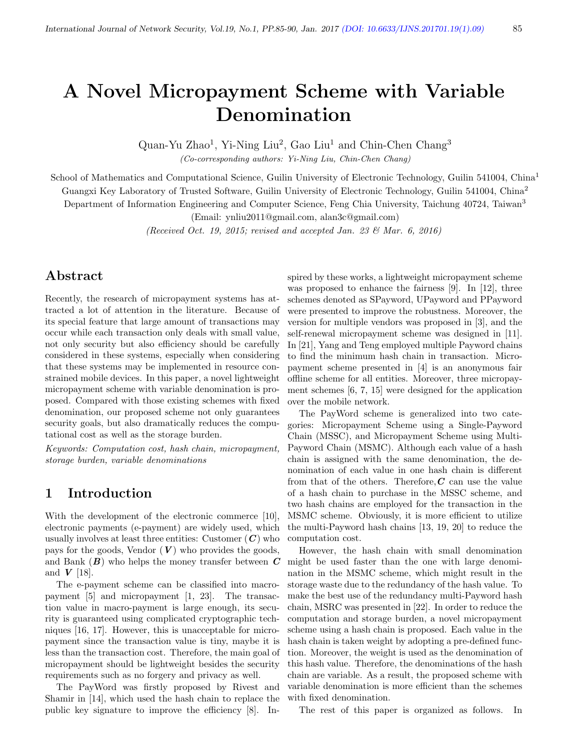# A Novel Micropayment Scheme with Variable Denomination

Quan-Yu Zhao<sup>1</sup>, Yi-Ning Liu<sup>2</sup>, Gao Liu<sup>1</sup> and Chin-Chen Chang<sup>3</sup> (Co-corresponding authors: Yi-Ning Liu, Chin-Chen Chang)

School of Mathematics and Computational Science, Guilin University of Electronic Technology, Guilin 541004, China<sup>1</sup> Guangxi Key Laboratory of Trusted Software, Guilin University of Electronic Technology, Guilin 541004, China<sup>2</sup> Department of Information Engineering and Computer Science, Feng Chia University, Taichung 40724, Taiwan<sup>3</sup>

(Email: ynliu2011@gmail.com, alan3c@gmail.com)

(Received Oct. 19, 2015; revised and accepted Jan. 23  $\mathcal{B}$  Mar. 6, 2016)

## Abstract

Recently, the research of micropayment systems has attracted a lot of attention in the literature. Because of its special feature that large amount of transactions may occur while each transaction only deals with small value, not only security but also efficiency should be carefully considered in these systems, especially when considering that these systems may be implemented in resource constrained mobile devices. In this paper, a novel lightweight micropayment scheme with variable denomination is proposed. Compared with those existing schemes with fixed denomination, our proposed scheme not only guarantees security goals, but also dramatically reduces the computational cost as well as the storage burden.

Keywords: Computation cost, hash chain, micropayment, storage burden, variable denominations

## 1 Introduction

With the development of the electronic commerce [10], electronic payments (e-payment) are widely used, which usually involves at least three entities: Customer  $(C)$  who pays for the goods, Vendor  $(V)$  who provides the goods, and Bank  $(B)$  who helps the money transfer between  $C$ and  $V$  [18].

The e-payment scheme can be classified into macropayment [5] and micropayment [1, 23]. The transaction value in macro-payment is large enough, its security is guaranteed using complicated cryptographic techniques [16, 17]. However, this is unacceptable for micropayment since the transaction value is tiny, maybe it is less than the transaction cost. Therefore, the main goal of micropayment should be lightweight besides the security requirements such as no forgery and privacy as well.

The PayWord was firstly proposed by Rivest and Shamir in [14], which used the hash chain to replace the public key signature to improve the efficiency [8]. Inspired by these works, a lightweight micropayment scheme was proposed to enhance the fairness [9]. In [12], three schemes denoted as SPayword, UPayword and PPayword were presented to improve the robustness. Moreover, the version for multiple vendors was proposed in [3], and the self-renewal micropayment scheme was designed in [11]. In [21], Yang and Teng employed multiple Payword chains to find the minimum hash chain in transaction. Micropayment scheme presented in [4] is an anonymous fair offline scheme for all entities. Moreover, three micropayment schemes [6, 7, 15] were designed for the application over the mobile network.

The PayWord scheme is generalized into two categories: Micropayment Scheme using a Single-Payword Chain (MSSC), and Micropayment Scheme using Multi-Payword Chain (MSMC). Although each value of a hash chain is assigned with the same denomination, the denomination of each value in one hash chain is different from that of the others. Therefore,  $C$  can use the value of a hash chain to purchase in the MSSC scheme, and two hash chains are employed for the transaction in the MSMC scheme. Obviously, it is more efficient to utilize the multi-Payword hash chains [13, 19, 20] to reduce the computation cost.

However, the hash chain with small denomination might be used faster than the one with large denomination in the MSMC scheme, which might result in the storage waste due to the redundancy of the hash value. To make the best use of the redundancy multi-Payword hash chain, MSRC was presented in [22]. In order to reduce the computation and storage burden, a novel micropayment scheme using a hash chain is proposed. Each value in the hash chain is taken weight by adopting a pre-defined function. Moreover, the weight is used as the denomination of this hash value. Therefore, the denominations of the hash chain are variable. As a result, the proposed scheme with variable denomination is more efficient than the schemes with fixed denomination.

The rest of this paper is organized as follows. In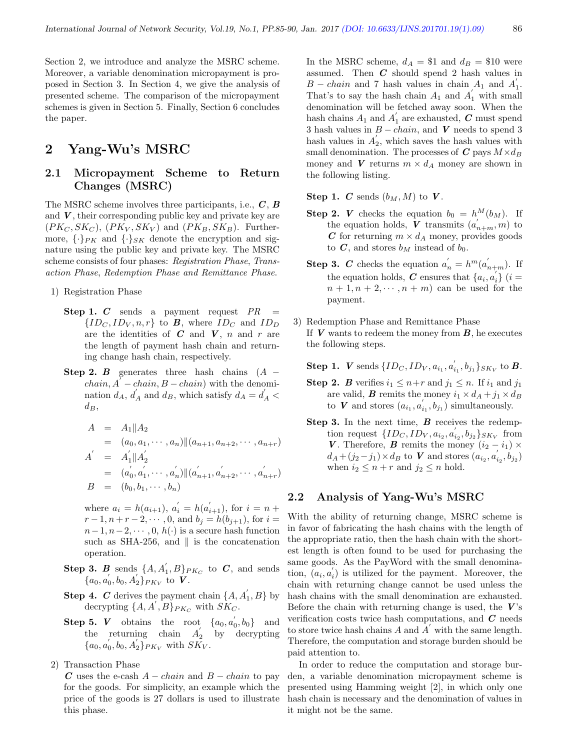Section 2, we introduce and analyze the MSRC scheme. Moreover, a variable denomination micropayment is proposed in Section 3. In Section 4, we give the analysis of presented scheme. The comparison of the micropayment schemes is given in Section 5. Finally, Section 6 concludes the paper.

## 2 Yang-Wu's MSRC

#### 2.1 Micropayment Scheme to Return Changes (MSRC)

The MSRC scheme involves three participants, i.e.,  $C$ ,  $B$ and  $V$ , their corresponding public key and private key are  $(PK_C, SK_C), (PK_V, SK_V)$  and  $(PK_B, SK_B)$ . Furthermore,  $\{\cdot\}_{PK}$  and  $\{\cdot\}_{SK}$  denote the encryption and signature using the public key and private key. The MSRC scheme consists of four phases: Registration Phase, Transaction Phase, Redemption Phase and Remittance Phase.

1) Registration Phase

- Step 1. C sends a payment request  $PR =$  $\{ID_C, ID_V, n, r\}$  to **B**, where  $ID_C$  and  $ID_D$ are the identities of  $C$  and  $V$ ,  $n$  and  $r$  are the length of payment hash chain and returning change hash chain, respectively.
- Step 2. B generates three hash chains  $(A$  $chain, A\overset{\sim}{-}chain, B - chain)$  with the denomination  $d_A$ ,  $d'_A$  and  $d_B$ , which satisfy  $d_A = d'_A$  $d_B,$

$$
A = A_1 || A_2
$$
  
\n
$$
= (a_0, a_1, \cdots, a_n) || (a_{n+1}, a_{n+2}, \cdots, a_{n+r})
$$
  
\n
$$
A' = A'_1 || A'_2
$$
  
\n
$$
= (a'_0, a'_1, \cdots, a'_n) || (a'_{n+1}, a'_{n+2}, \cdots, a'_{n+r})
$$
  
\n
$$
B = (b_0, b_1, \cdots, b_n)
$$

where  $a_i = h(a_{i+1}), a'_i = h(a'_{i+1}),$  for  $i = n +$  $r-1, n+r-2, \dots, 0$ , and  $b_i = h(b_{i+1})$ , for  $i =$  $n-1, n-2, \cdots, 0, h(\cdot)$  is a secure hash function such as SHA-256, and  $\parallel$  is the concatenation operation.

- **Step 3.** B sends  $\{A, A_1, B\}_{PK_C}$  to C, and sends  $\{a_0, a_0, b_0, A_2'\} P_{K_V}$  to  $\tilde{V}$ .
- **Step 4.** C derives the payment chain  $\{A, A_1, B\}$  by decrypting  $\{A, A^{'}, B\}_{PK_C}$  with  $SK_C$ .
- **Step 5.** V obtains the root  $\{a_0, a'_0, b_0\}$  and the returning chain  $A_2'$  by decrypting  $\{a_0, a_0, a_0, a_2'\}_{PK_V}$  with  $S\tilde{K_V}$ .
- 2) Transaction Phase

C uses the e-cash  $A - chain$  and  $B - chain$  to pay for the goods. For simplicity, an example which the price of the goods is 27 dollars is used to illustrate this phase.

In the MSRC scheme,  $d_A = $1$  and  $d_B = $10$  were assumed. Then  $C$  should spend 2 hash values in  $B - chain$  and 7 hash values in chain  $A_1$  and  $A_1'$ . That's to say the hash chain  $A_1$  and  $A_1'$  with small denomination will be fetched away soon. When the hash chains  $A_1$  and  $A_1^{'}$  are exhausted,  $C$  must spend 3 hash values in  $B - chain$ , and V needs to spend 3 hash values in  $A_2^{\prime}$ , which saves the hash values with small denomination. The processes of  $C$  pays  $M \times d_B$ money and V returns  $m \times d_A$  money are shown in the following listing.

Step 1. C sends  $(b_M, M)$  to V.

- **Step 2.** *V* checks the equation  $b_0 = h^M(b_M)$ . If the equation holds,  $\boldsymbol{V}$  transmits  $(a'_{n+m}, m)$  to C for returning  $m \times d_A$  money, provides goods to  $C$ , and stores  $b_M$  instead of  $b_0$ .
- **Step 3.** C checks the equation  $a'_n = h^m(a'_{n+m})$ . If the equation holds,  $C$  ensures that  $\{a_i, a_i^{\prime}\}\ (i =$  $n+1, n+2, \cdots, n+m$  can be used for the payment.
- 3) Redemption Phase and Remittance Phase If  $V$  wants to redeem the money from  $B$ , he executes the following steps.

**Step 1.** *V* sends  $\{ID_C, ID_V, a_{i_1}, a_{i_1}^{'}, b_{j_1}\}_{SK_V}$  to *B*.

- **Step 2.** B verifies  $i_1 \leq n+r$  and  $j_1 \leq n$ . If  $i_1$  and  $j_1$ are valid, **B** remits the money  $i_1 \times d_A + j_1 \times d_B$ to V and stores  $(a_{i_1}, a'_{i_1}, b_{j_1})$  simultaneously.
- Step 3. In the next time, B receives the redemption request  $\{ID_C, ID_V, a_{i_2}, a'_{i_2}, b_{j_2}\}_{SK_V}$  from V. Therefore, B remits the money  $(i_2 - i_1) \times$  $d_A + (j_2 - j_1) \times d_B$  to **V** and stores  $(a_{i_2}, a'_{i_2}, b_{j_2})$ when  $i_2 \leq n + r$  and  $j_2 \leq n$  hold.

#### 2.2 Analysis of Yang-Wu's MSRC

With the ability of returning change, MSRC scheme is in favor of fabricating the hash chains with the length of the appropriate ratio, then the hash chain with the shortest length is often found to be used for purchasing the same goods. As the PayWord with the small denomination,  $(a_i, a'_i)$  is utilized for the payment. Moreover, the chain with returning change cannot be used unless the hash chains with the small denomination are exhausted. Before the chain with returning change is used, the  $V$ 's verification costs twice hash computations, and  $C$  needs to store twice hash chains  $\overrightarrow{A}$  and  $\overrightarrow{A}'$  with the same length. Therefore, the computation and storage burden should be paid attention to.

In order to reduce the computation and storage burden, a variable denomination micropayment scheme is presented using Hamming weight [2], in which only one hash chain is necessary and the denomination of values in it might not be the same.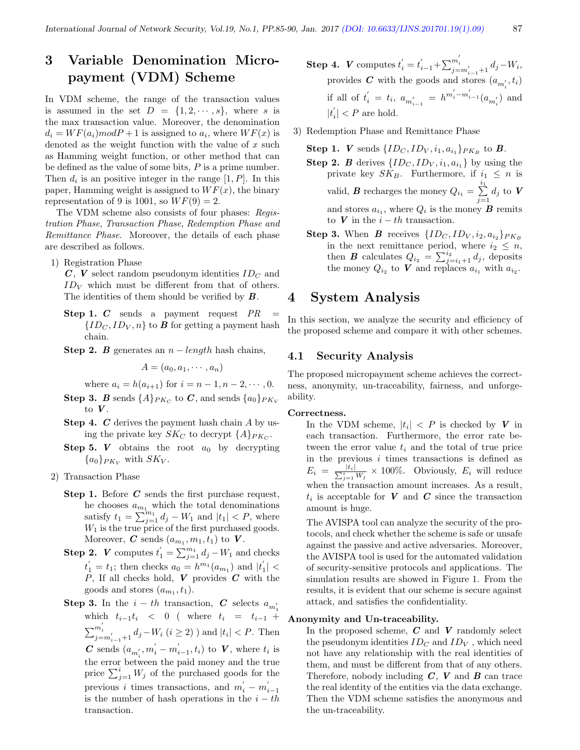## 3 Variable Denomination Micropayment (VDM) Scheme

In VDM scheme, the range of the transaction values is assumed in the set  $D = \{1, 2, \dots, s\}$ , where s is the max transaction value. Moreover, the denomination  $d_i = WF(a_i)modP+1$  is assigned to  $a_i$ , where  $WF(x)$  is denoted as the weight function with the value of  $x$  such as Hamming weight function, or other method that can be defined as the value of some bits,  $P$  is a prime number. Then  $d_i$  is an positive integer in the range  $[1, P]$ . In this paper, Hamming weight is assigned to  $WF(x)$ , the binary representation of 9 is 1001, so  $WF(9) = 2$ .

The VDM scheme also consists of four phases: Registration Phase, Transaction Phase, Redemption Phase and Remittance Phase. Moreover, the details of each phase are described as follows.

1) Registration Phase

 $C, V$  select random pseudonym identities  $ID_C$  and  $ID_V$  which must be different from that of others. The identities of them should be verified by  $B$ .

- Step 1.  $C$  sends a payment request  $PR$  ${ID_C, ID_V, n}$  to **B** for getting a payment hash chain.
- Step 2. B generates an  $n$  length hash chains,

$$
A=(a_0,a_1,\cdots,a_n)
$$

where 
$$
a_i = h(a_{i+1})
$$
 for  $i = n - 1, n - 2, \dots, 0$ .

- $\textbf{Step 3.} \ \textbf{\textit{B}} \ \textbf{ends} \ \{A\}_{PK_C} \ \text{to} \ \textbf{\textit{C}}, \ \text{and sends} \ \{a_0\}_{PK_V}$ to  $V$ .
- **Step 4.**  $C$  derives the payment hash chain  $A$  by using the private key  $SK_C$  to decrypt  $\{A\}_{PK_C}$ .
- **Step 5.** V obtains the root  $a_0$  by decrypting  ${a_0}_{PK_V}$  with  $SK_V$ .
- 2) Transaction Phase
	- **Step 1.** Before  $C$  sends the first purchase request, he chooses  $a_{m_1}$  which the total denominations satisfy  $t_1 = \sum_{j=1}^{m_1} d_j - W_1$  and  $|t_1| < P$ , where  $W_1$  is the true price of the first purchased goods. Moreover, C sends  $(a_{m_1}, m_1, t_1)$  to V.
	- **Step 2.** *V* computes  $t'_1 = \sum_{j=1}^{m_1} d_j W_1$  and checks  $t'_{1} = t_{1}$ ; then checks  $a_{0} = h^{m_{1}}(a_{m_{1}})$  and  $|t'_{1}| <$  $P$ , If all checks hold,  $V$  provides  $C$  with the goods and stores  $(a_{m_1}, t_1)$ .
	- **Step 3.** In the  $i th$  transaction, C selects  $a_{m'_1}$ which  $t_{i-1}t_i$  < 0 ( where  $t_i = t_{i-1}$  +  $\sum_{j=m'_{i-1}+1}^{m'_{i}} d_{j} - W_{i}$   $(i \geq 2)$ ) and  $|t_{i}| < P$ . Then C sends  $(a_{m'_i}, m'_i - m'_{i-1}, t_i)$  to V, where  $t_i$  is the error between the paid money and the true price  $\sum_{j=1}^{i} W_j$  of the purchased goods for the previous *i* times transactions, and  $m'_{i} - m'_{i-1}$ is the number of hash operations in the  $i - th$ transaction.
- **Step 4.** *V* computes  $t'_{i} = t'_{i-1} + \sum_{j=m'_{i-1}+1}^{m'_{i}} d_{j} W_{i}$ , provides  $C$  with the goods and stores  $(a_{m'_i}, t_i)$ if all of  $t'_{i} = t_{i}, a_{m'_{i-1}} = h^{m'_{i} - m'_{i-1}}(a_{m'_{i}})$  and  $|t^{'}_{i}| < P$  are hold.
- 3) Redemption Phase and Remittance Phase

Step 1. V sends  $\{ID_C, ID_V, i_1, a_{i_1}\}_{PK_B}$  to B.

**Step 2.** B derives  $\{ID_C, ID_V, i_1, a_{i_1}\}$  by using the private key  $SK_B$ . Furthermore, if  $i_1 \leq n$  is valid, **B** recharges the money  $Q_{i_1} = \sum_{i=1}^{i_1}$  $\sum_{j=1} d_j$  to  $V$ and stores  $a_{i_1}$ , where  $Q_i$  is the money **B** remits to V in the  $i - th$  transaction.

**Step 3.** When **B** receives  $\{ID_C, ID_V, i_2, a_{i_2}\}_{PK_B}$ in the next remittance period, where  $i_2 \leq n$ , then **B** calculates  $Q_{i_2} = \sum_{j=i_1+1}^{i_2} d_j$ , deposits the money  $Q_{i_2}$  to V and replaces  $a_{i_1}$  with  $a_{i_2}$ .

## 4 System Analysis

In this section, we analyze the security and efficiency of the proposed scheme and compare it with other schemes.

#### 4.1 Security Analysis

The proposed micropayment scheme achieves the correctness, anonymity, un-traceability, fairness, and unforgeability.

#### Correctness.

In the VDM scheme,  $|t_i| < P$  is checked by V in each transaction. Furthermore, the error rate between the error value  $t_i$  and the total of true price in the previous  $i$  times transactions is defined as  $E_i = \frac{|t_i|}{\sum_{j=1}^i W_j} \times 100\%.$  Obviously,  $E_i$  will reduce when the transaction amount increases. As a result,  $t_i$  is acceptable for  $V$  and  $C$  since the transaction amount is huge.

The AVISPA tool can analyze the security of the protocols, and check whether the scheme is safe or unsafe against the passive and active adversaries. Moreover, the AVISPA tool is used for the automated validation of security-sensitive protocols and applications. The simulation results are showed in Figure 1. From the results, it is evident that our scheme is secure against attack, and satisfies the confidentiality.

#### Anonymity and Un-traceability.

In the proposed scheme,  $C$  and  $V$  randomly select the pseudonym identities  $ID_C$  and  $ID_V$ , which need not have any relationship with the real identities of them, and must be different from that of any others. Therefore, nobody including  $C$ ,  $V$  and  $B$  can trace the real identity of the entities via the data exchange. Then the VDM scheme satisfies the anonymous and the un-traceability.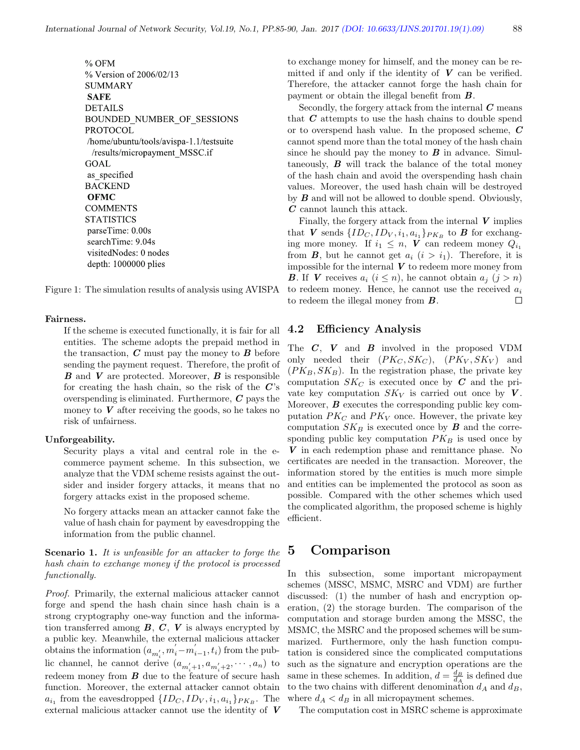% OFM % Version of 2006/02/13 **SUMMARY SAFE DETAILS** BOUNDED NUMBER OF SESSIONS **PROTOCOL** /home/ubuntu/tools/avispa-1.1/testsuite /results/micropayment MSSC.if GOAL as specified **BACKEND OFMC COMMENTS STATISTICS** parseTime: 0.00s searchTime: 9.04s visitedNodes: 0 nodes depth: 1000000 plies

Figure 1: The simulation results of analysis using AVISPA

#### Fairness.

If the scheme is executed functionally, it is fair for all entities. The scheme adopts the prepaid method in the transaction,  $C$  must pay the money to  $B$  before sending the payment request. Therefore, the profit of  $\boldsymbol{B}$  and  $\boldsymbol{V}$  are protected. Moreover,  $\boldsymbol{B}$  is responsible for creating the hash chain, so the risk of the  $C$ 's overspending is eliminated. Furthermore,  $C$  pays the money to  $V$  after receiving the goods, so he takes no risk of unfairness.

#### Unforgeability.

Security plays a vital and central role in the ecommerce payment scheme. In this subsection, we analyze that the VDM scheme resists against the outsider and insider forgery attacks, it means that no forgery attacks exist in the proposed scheme.

No forgery attacks mean an attacker cannot fake the value of hash chain for payment by eavesdropping the information from the public channel.

#### Scenario 1. It is unfeasible for an attacker to forge the hash chain to exchange money if the protocol is processed functionally.

Proof. Primarily, the external malicious attacker cannot forge and spend the hash chain since hash chain is a strong cryptography one-way function and the information transferred among  $B, C, V$  is always encrypted by a public key. Meanwhile, the external malicious attacker obtains the information  $(a_{m'_i}, m'_i - m'_{i-1}, t_i)$  from the public channel, he cannot derive  $(a_{m'_i+1}, a_{m'_i+2}, \cdots, a_n)$  to redeem money from  $B$  due to the feature of secure hash function. Moreover, the external attacker cannot obtain  $a_{i_1}$  from the eavesdropped  $\{ID_C, ID_V, i_1, a_{i_1}\}_{PK_B}$ . The external malicious attacker cannot use the identity of V to exchange money for himself, and the money can be remitted if and only if the identity of  $V$  can be verified. Therefore, the attacker cannot forge the hash chain for payment or obtain the illegal benefit from  $\boldsymbol{B}$ .

Secondly, the forgery attack from the internal  $C$  means that  $C$  attempts to use the hash chains to double spend or to overspend hash value. In the proposed scheme,  $C$ cannot spend more than the total money of the hash chain since he should pay the money to  $\boldsymbol{B}$  in advance. Simultaneously,  $\boldsymbol{B}$  will track the balance of the total money of the hash chain and avoid the overspending hash chain values. Moreover, the used hash chain will be destroyed by  $B$  and will not be allowed to double spend. Obviously, C cannot launch this attack.

Finally, the forgery attack from the internal  $V$  implies that V sends  $\{ID_C, ID_V, i_1, a_{i_1}\}_{PK_B}$  to B for exchanging more money. If  $i_1 \leq n$ , V can redeem money  $Q_{i_1}$ from **B**, but he cannot get  $a_i$   $(i > i_1)$ . Therefore, it is impossible for the internal  $V$  to redeem more money from **B**. If **V** receives  $a_i$   $(i \leq n)$ , he cannot obtain  $a_j$   $(j > n)$ to redeem money. Hence, he cannot use the received  $a_i$ to redeem the illegal money from  $\boldsymbol{B}$ .  $\Box$ 

#### 4.2 Efficiency Analysis

The  $C$ ,  $V$  and  $B$  involved in the proposed VDM only needed their  $(PK_C, SK_C)$ ,  $(PK_V, SK_V)$  and  $(PK_B, SK_B)$ . In the registration phase, the private key computation  $SK_C$  is executed once by C and the private key computation  $SK_V$  is carried out once by V. Moreover,  $\bm{B}$  executes the corresponding public key computation  $PK_C$  and  $PK_V$  once. However, the private key computation  $SK_B$  is executed once by **B** and the corresponding public key computation  $PK_B$  is used once by V in each redemption phase and remittance phase. No certificates are needed in the transaction. Moreover, the information stored by the entities is much more simple and entities can be implemented the protocol as soon as possible. Compared with the other schemes which used the complicated algorithm, the proposed scheme is highly efficient.

### 5 Comparison

In this subsection, some important micropayment schemes (MSSC, MSMC, MSRC and VDM) are further discussed: (1) the number of hash and encryption operation, (2) the storage burden. The comparison of the computation and storage burden among the MSSC, the MSMC, the MSRC and the proposed schemes will be summarized. Furthermore, only the hash function computation is considered since the complicated computations such as the signature and encryption operations are the same in these schemes. In addition,  $d = \frac{d_B}{d_A}$  is defined due to the two chains with different denomination  $d_A$  and  $d_B$ , where  $d_A < d_B$  in all micropayment schemes.

The computation cost in MSRC scheme is approximate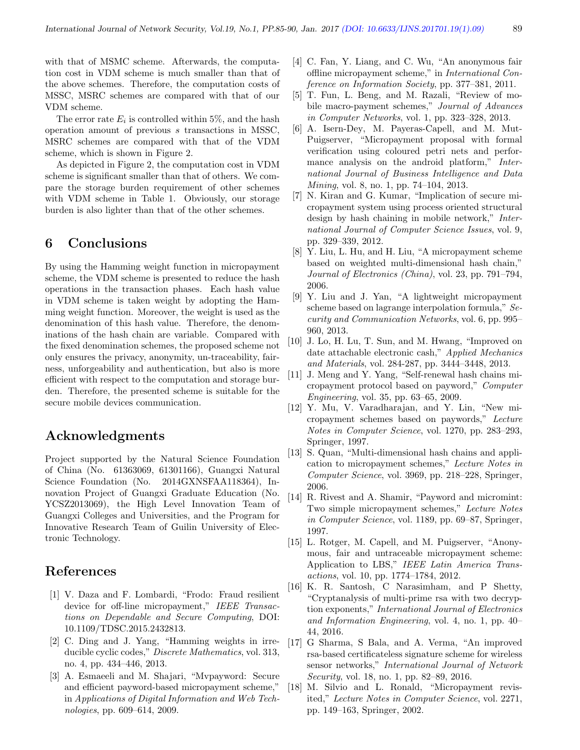with that of MSMC scheme. Afterwards, the computation cost in VDM scheme is much smaller than that of the above schemes. Therefore, the computation costs of MSSC, MSRC schemes are compared with that of our VDM scheme.

The error rate  $E_i$  is controlled within 5%, and the hash operation amount of previous s transactions in MSSC, MSRC schemes are compared with that of the VDM scheme, which is shown in Figure 2.

As depicted in Figure 2, the computation cost in VDM scheme is significant smaller than that of others. We compare the storage burden requirement of other schemes with VDM scheme in Table 1. Obviously, our storage burden is also lighter than that of the other schemes.

## 6 Conclusions

By using the Hamming weight function in micropayment scheme, the VDM scheme is presented to reduce the hash operations in the transaction phases. Each hash value in VDM scheme is taken weight by adopting the Hamming weight function. Moreover, the weight is used as the denomination of this hash value. Therefore, the denominations of the hash chain are variable. Compared with the fixed denomination schemes, the proposed scheme not only ensures the privacy, anonymity, un-traceability, fairness, unforgeability and authentication, but also is more efficient with respect to the computation and storage burden. Therefore, the presented scheme is suitable for the secure mobile devices communication.

## Acknowledgments

Project supported by the Natural Science Foundation of China (No. 61363069, 61301166), Guangxi Natural Science Foundation (No. 2014GXNSFAA118364), Innovation Project of Guangxi Graduate Education (No. YCSZ2013069), the High Level Innovation Team of Guangxi Colleges and Universities, and the Program for Innovative Research Team of Guilin University of Electronic Technology.

## References

- [1] V. Daza and F. Lombardi, "Frodo: Fraud resilient device for off-line micropayment," IEEE Transactions on Dependable and Secure Computing, DOI: 10.1109/TDSC.2015.2432813.
- [2] C. Ding and J. Yang, "Hamming weights in irreducible cyclic codes," Discrete Mathematics, vol. 313, no. 4, pp. 434–446, 2013.
- [3] A. Esmaeeli and M. Shajari, "Mvpayword: Secure and efficient payword-based micropayment scheme," in Applications of Digital Information and Web Technologies, pp. 609–614, 2009.
- [4] C. Fan, Y. Liang, and C. Wu, "An anonymous fair offline micropayment scheme," in International Conference on Information Society, pp. 377–381, 2011.
- [5] T. Fun, L. Beng, and M. Razali, "Review of mobile macro-payment schemes," Journal of Advances in Computer Networks, vol. 1, pp. 323–328, 2013.
- [6] A. Isern-Dey, M. Payeras-Capell, and M. Mut-Puigserver, "Micropayment proposal with formal verification using coloured petri nets and performance analysis on the android platform," International Journal of Business Intelligence and Data Mining, vol. 8, no. 1, pp. 74–104, 2013.
- [7] N. Kiran and G. Kumar, "Implication of secure micropayment system using process oriented structural design by hash chaining in mobile network," International Journal of Computer Science Issues, vol. 9, pp. 329–339, 2012.
- [8] Y. Liu, L. Hu, and H. Liu, "A micropayment scheme based on weighted multi-dimensional hash chain," Journal of Electronics (China), vol. 23, pp. 791–794, 2006.
- [9] Y. Liu and J. Yan, "A lightweight micropayment scheme based on lagrange interpolation formula," Security and Communication Networks, vol. 6, pp. 995– 960, 2013.
- [10] J. Lo, H. Lu, T. Sun, and M. Hwang, "Improved on date attachable electronic cash," Applied Mechanics and Materials, vol. 284-287, pp. 3444–3448, 2013.
- [11] J. Meng and Y. Yang, "Self-renewal hash chains micropayment protocol based on payword," Computer Engineering, vol. 35, pp. 63–65, 2009.
- [12] Y. Mu, V. Varadharajan, and Y. Lin, "New micropayment schemes based on paywords," Lecture Notes in Computer Science, vol. 1270, pp. 283–293, Springer, 1997.
- [13] S. Quan, "Multi-dimensional hash chains and application to micropayment schemes," Lecture Notes in Computer Science, vol. 3969, pp. 218–228, Springer, 2006.
- [14] R. Rivest and A. Shamir, "Payword and micromint: Two simple micropayment schemes," Lecture Notes in Computer Science, vol. 1189, pp. 69–87, Springer, 1997.
- [15] L. Rotger, M. Capell, and M. Puigserver, "Anonymous, fair and untraceable micropayment scheme: Application to LBS," IEEE Latin America Transactions, vol. 10, pp. 1774–1784, 2012.
- [16] K. R. Santosh, C Narasimham, and P Shetty, "Cryptanalysis of multi-prime rsa with two decryption exponents," International Journal of Electronics and Information Engineering, vol. 4, no. 1, pp. 40– 44, 2016.
- [17] G Sharma, S Bala, and A. Verma, "An improved rsa-based certificateless signature scheme for wireless sensor networks," International Journal of Network Security, vol. 18, no. 1, pp. 82–89, 2016.
- [18] M. Silvio and L. Ronald, "Micropayment revisited," Lecture Notes in Computer Science, vol. 2271, pp. 149–163, Springer, 2002.